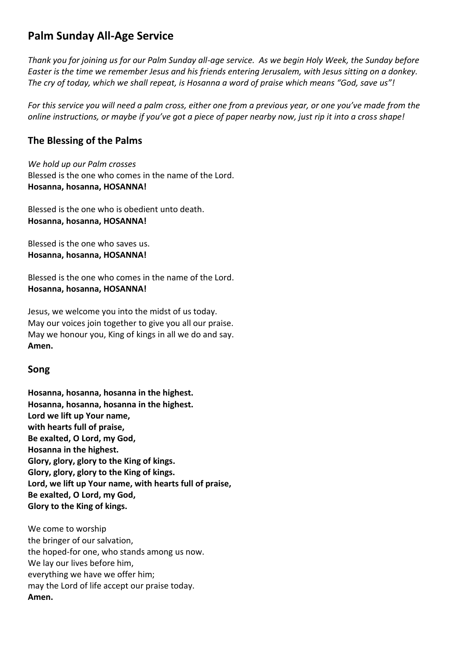# **Palm Sunday All-Age Service**

*Thank you for joining us for our Palm Sunday all-age service. As we begin Holy Week, the Sunday before Easter is the time we remember Jesus and his friends entering Jerusalem, with Jesus sitting on a donkey. The cry of today, which we shall repeat, is Hosanna a word of praise which means "God, save us"!*

*For this service you will need a palm cross, either one from a previous year, or one you've made from the online instructions, or maybe if you've got a piece of paper nearby now, just rip it into a cross shape!*

## **The Blessing of the Palms**

*We hold up our Palm crosses* Blessed is the one who comes in the name of the Lord. **Hosanna, hosanna, HOSANNA!**

Blessed is the one who is obedient unto death. **Hosanna, hosanna, HOSANNA!**

Blessed is the one who saves us. **Hosanna, hosanna, HOSANNA!**

Blessed is the one who comes in the name of the Lord. **Hosanna, hosanna, HOSANNA!**

Jesus, we welcome you into the midst of us today. May our voices join together to give you all our praise. May we honour you, King of kings in all we do and say. **Amen.**

#### **Song**

**Hosanna, hosanna, hosanna in the highest. Hosanna, hosanna, hosanna in the highest. Lord we lift up Your name, with hearts full of praise, Be exalted, O Lord, my God, Hosanna in the highest. Glory, glory, glory to the King of kings. Glory, glory, glory to the King of kings. Lord, we lift up Your name, with hearts full of praise, Be exalted, O Lord, my God, Glory to the King of kings.**

We come to worship the bringer of our salvation, the hoped-for one, who stands among us now. We lay our lives before him, everything we have we offer him; may the Lord of life accept our praise today. **Amen.**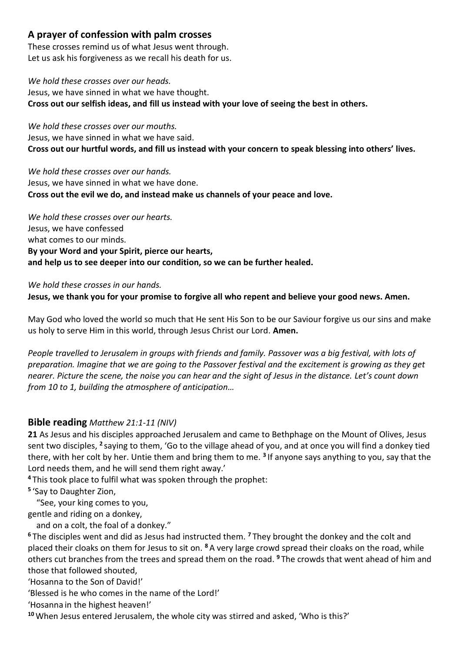### **A prayer of confession with palm crosses**

These crosses remind us of what Jesus went through. Let us ask his forgiveness as we recall his death for us.

*We hold these crosses over our heads.* Jesus, we have sinned in what we have thought. **Cross out our selfish ideas, and fill us instead with your love of seeing the best in others.**

*We hold these crosses over our mouths.* Jesus, we have sinned in what we have said. **Cross out our hurtful words, and fill us instead with your concern to speak blessing into others' lives.**

*We hold these crosses over our hands.* Jesus, we have sinned in what we have done. **Cross out the evil we do, and instead make us channels of your peace and love.**

*We hold these crosses over our hearts.* Jesus, we have confessed what comes to our minds. **By your Word and your Spirit, pierce our hearts, and help us to see deeper into our condition, so we can be further healed.**

*We hold these crosses in our hands.*

**Jesus, we thank you for your promise to forgive all who repent and believe your good news. Amen.**

May God who loved the world so much that He sent His Son to be our Saviour forgive us our sins and make us holy to serve Him in this world, through Jesus Christ our Lord. **Amen.**

*People travelled to Jerusalem in groups with friends and family. Passover was a big festival, with lots of preparation. Imagine that we are going to the Passover festival and the excitement is growing as they get nearer. Picture the scene, the noise you can hear and the sight of Jesus in the distance. Let's count down from 10 to 1, building the atmosphere of anticipation…*

#### **Bible reading** *Matthew 21:1-11 (NIV)*

**21** As Jesus and his disciples approached Jerusalem and came to Bethphage on the Mount of Olives, Jesus sent two disciples, <sup>2</sup> saying to them, 'Go to the village ahead of you, and at once you will find a donkey tied there, with her colt by her. Untie them and bring them to me. **<sup>3</sup>** If anyone says anything to you, say that the Lord needs them, and he will send them right away.'

**<sup>4</sup>** This took place to fulfil what was spoken through the prophet:

**5** 'Say to Daughter Zion,

"See, your king comes to you,

gentle and riding on a donkey,

and on a colt, the foal of a donkey."

**<sup>6</sup>** The disciples went and did as Jesus had instructed them. **<sup>7</sup>** They brought the donkey and the colt and placed their cloaks on them for Jesus to sit on. **<sup>8</sup>** A very large crowd spread their cloaks on the road, while others cut branches from the trees and spread them on the road. **<sup>9</sup>** The crowds that went ahead of him and those that followed shouted,

'Hosanna to the Son of David!'

'Blessed is he who comes in the name of the Lord!'

'Hosanna in the highest heaven!'

**<sup>10</sup>** When Jesus entered Jerusalem, the whole city was stirred and asked, 'Who is this?'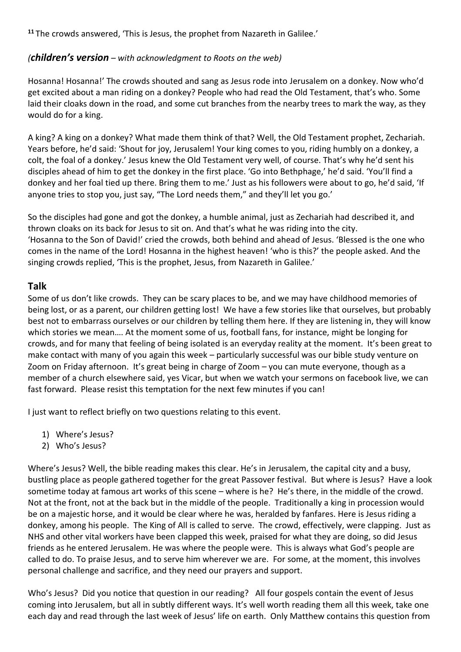**<sup>11</sup>** The crowds answered, 'This is Jesus, the prophet from Nazareth in Galilee.'

### *(children's version – with acknowledgment to Roots on the web)*

Hosanna! Hosanna!' The crowds shouted and sang as Jesus rode into Jerusalem on a donkey. Now who'd get excited about a man riding on a donkey? People who had read the Old Testament, that's who. Some laid their cloaks down in the road, and some cut branches from the nearby trees to mark the way, as they would do for a king.

A king? A king on a donkey? What made them think of that? Well, the Old Testament prophet, Zechariah. Years before, he'd said: 'Shout for joy, Jerusalem! Your king comes to you, riding humbly on a donkey, a colt, the foal of a donkey.' Jesus knew the Old Testament very well, of course. That's why he'd sent his disciples ahead of him to get the donkey in the first place. 'Go into Bethphage,' he'd said. 'You'll find a donkey and her foal tied up there. Bring them to me.' Just as his followers were about to go, he'd said, 'If anyone tries to stop you, just say, "The Lord needs them," and they'll let you go.'

So the disciples had gone and got the donkey, a humble animal, just as Zechariah had described it, and thrown cloaks on its back for Jesus to sit on. And that's what he was riding into the city. 'Hosanna to the Son of David!' cried the crowds, both behind and ahead of Jesus. 'Blessed is the one who comes in the name of the Lord! Hosanna in the highest heaven! 'who is this?' the people asked. And the singing crowds replied, 'This is the prophet, Jesus, from Nazareth in Galilee.'

#### **Talk**

Some of us don't like crowds. They can be scary places to be, and we may have childhood memories of being lost, or as a parent, our children getting lost! We have a few stories like that ourselves, but probably best not to embarrass ourselves or our children by telling them here. If they are listening in, they will know which stories we mean…. At the moment some of us, football fans, for instance, might be longing for crowds, and for many that feeling of being isolated is an everyday reality at the moment. It's been great to make contact with many of you again this week – particularly successful was our bible study venture on Zoom on Friday afternoon. It's great being in charge of Zoom – you can mute everyone, though as a member of a church elsewhere said, yes Vicar, but when we watch your sermons on facebook live, we can fast forward. Please resist this temptation for the next few minutes if you can!

I just want to reflect briefly on two questions relating to this event.

- 1) Where's Jesus?
- 2) Who's Jesus?

Where's Jesus? Well, the bible reading makes this clear. He's in Jerusalem, the capital city and a busy, bustling place as people gathered together for the great Passover festival. But where is Jesus? Have a look sometime today at famous art works of this scene – where is he? He's there, in the middle of the crowd. Not at the front, not at the back but in the middle of the people. Traditionally a king in procession would be on a majestic horse, and it would be clear where he was, heralded by fanfares. Here is Jesus riding a donkey, among his people. The King of All is called to serve. The crowd, effectively, were clapping. Just as NHS and other vital workers have been clapped this week, praised for what they are doing, so did Jesus friends as he entered Jerusalem. He was where the people were. This is always what God's people are called to do. To praise Jesus, and to serve him wherever we are. For some, at the moment, this involves personal challenge and sacrifice, and they need our prayers and support.

Who's Jesus? Did you notice that question in our reading? All four gospels contain the event of Jesus coming into Jerusalem, but all in subtly different ways. It's well worth reading them all this week, take one each day and read through the last week of Jesus' life on earth. Only Matthew contains this question from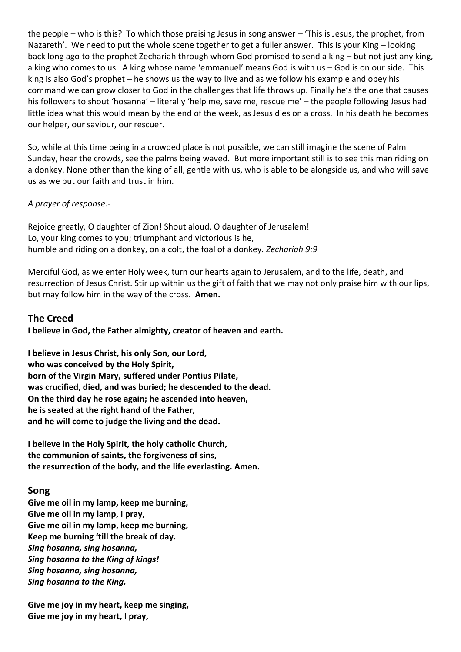the people – who is this? To which those praising Jesus in song answer – 'This is Jesus, the prophet, from Nazareth'. We need to put the whole scene together to get a fuller answer. This is your King – looking back long ago to the prophet Zechariah through whom God promised to send a king – but not just any king, a king who comes to us. A king whose name 'emmanuel' means God is with us – God is on our side. This king is also God's prophet – he shows us the way to live and as we follow his example and obey his command we can grow closer to God in the challenges that life throws up. Finally he's the one that causes his followers to shout 'hosanna' – literally 'help me, save me, rescue me' – the people following Jesus had little idea what this would mean by the end of the week, as Jesus dies on a cross. In his death he becomes our helper, our saviour, our rescuer.

So, while at this time being in a crowded place is not possible, we can still imagine the scene of Palm Sunday, hear the crowds, see the palms being waved. But more important still is to see this man riding on a donkey. None other than the king of all, gentle with us, who is able to be alongside us, and who will save us as we put our faith and trust in him.

#### *A prayer of response:-*

Rejoice greatly, O daughter of Zion! Shout aloud, O daughter of Jerusalem! Lo, your king comes to you; triumphant and victorious is he, humble and riding on a donkey, on a colt, the foal of a donkey. *Zechariah 9:9*

Merciful God, as we enter Holy week, turn our hearts again to Jerusalem, and to the life, death, and resurrection of Jesus Christ. Stir up within us the gift of faith that we may not only praise him with our lips, but may follow him in the way of the cross. **Amen.**

### **The Creed**

**I believe in God, the Father almighty, creator of heaven and earth.**

**I believe in Jesus Christ, his only Son, our Lord, who was conceived by the Holy Spirit, born of the Virgin Mary, suffered under Pontius Pilate, was crucified, died, and was buried; he descended to the dead. On the third day he rose again; he ascended into heaven, he is seated at the right hand of the Father, and he will come to judge the living and the dead.**

**I believe in the Holy Spirit, the holy catholic Church, the communion of saints, the forgiveness of sins, the resurrection of the body, and the life everlasting. Amen.**

#### **Song**

**Give me oil in my lamp, keep me burning, Give me oil in my lamp, I pray, Give me oil in my lamp, keep me burning, Keep me burning 'till the break of day.** *Sing hosanna, sing hosanna, Sing hosanna to the King of kings! Sing hosanna, sing hosanna, Sing hosanna to the King.*

**Give me joy in my heart, keep me singing, Give me joy in my heart, I pray,**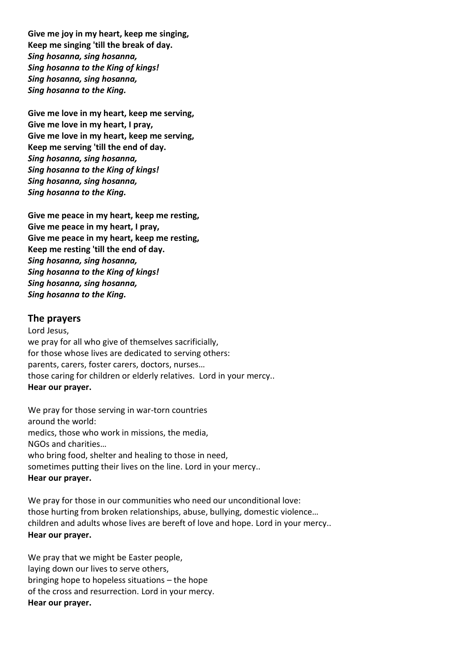**Give me joy in my heart, keep me singing, Keep me singing 'till the break of day.** *Sing hosanna, sing hosanna, Sing hosanna to the King of kings! Sing hosanna, sing hosanna, Sing hosanna to the King.*

**Give me love in my heart, keep me serving, Give me love in my heart, I pray, Give me love in my heart, keep me serving, Keep me serving 'till the end of day.** *Sing hosanna, sing hosanna, Sing hosanna to the King of kings! Sing hosanna, sing hosanna, Sing hosanna to the King.*

**Give me peace in my heart, keep me resting, Give me peace in my heart, I pray, Give me peace in my heart, keep me resting, Keep me resting 'till the end of day.** *Sing hosanna, sing hosanna, Sing hosanna to the King of kings! Sing hosanna, sing hosanna, Sing hosanna to the King.*

#### **The prayers**

Lord Jesus, we pray for all who give of themselves sacrificially, for those whose lives are dedicated to serving others: parents, carers, foster carers, doctors, nurses… those caring for children or elderly relatives. Lord in your mercy.. **Hear our prayer.**

We pray for those serving in war-torn countries around the world: medics, those who work in missions, the media, NGOs and charities… who bring food, shelter and healing to those in need, sometimes putting their lives on the line. Lord in your mercy.. **Hear our prayer.**

We pray for those in our communities who need our unconditional love: those hurting from broken relationships, abuse, bullying, domestic violence… children and adults whose lives are bereft of love and hope. Lord in your mercy.. **Hear our prayer.**

We pray that we might be Easter people, laying down our lives to serve others, bringing hope to hopeless situations – the hope of the cross and resurrection. Lord in your mercy. **Hear our prayer.**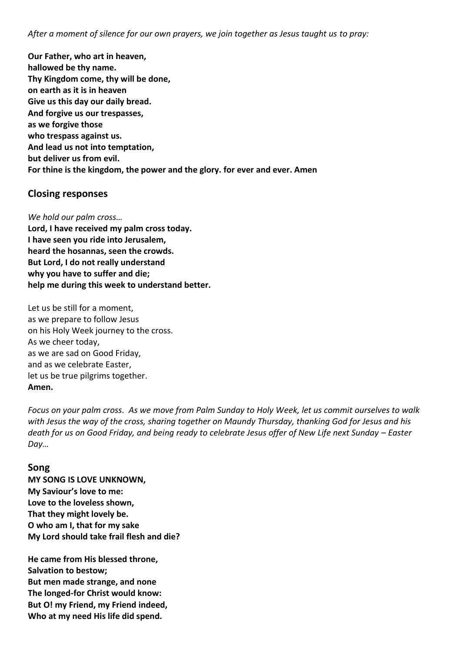*After a moment of silence for our own prayers, we join together as Jesus taught us to pray:*

**Our Father, who art in heaven, hallowed be thy name. Thy Kingdom come, thy will be done, on earth as it is in heaven Give us this day our daily bread. And forgive us our trespasses, as we forgive those who trespass against us. And lead us not into temptation, but deliver us from evil. For thine is the kingdom, the power and the glory. for ever and ever. Amen**

#### **Closing responses**

*We hold our palm cross…*

**Lord, I have received my palm cross today. I have seen you ride into Jerusalem, heard the hosannas, seen the crowds. But Lord, I do not really understand why you have to suffer and die; help me during this week to understand better.**

Let us be still for a moment, as we prepare to follow Jesus on his Holy Week journey to the cross. As we cheer today, as we are sad on Good Friday, and as we celebrate Easter, let us be true pilgrims together. **Amen.**

*Focus on your palm cross. As we move from Palm Sunday to Holy Week, let us commit ourselves to walk with Jesus the way of the cross, sharing together on Maundy Thursday, thanking God for Jesus and his death for us on Good Friday, and being ready to celebrate Jesus offer of New Life next Sunday – Easter Day…*

#### **Song**

**MY SONG IS LOVE UNKNOWN, My Saviour's love to me: Love to the loveless shown, That they might lovely be. O who am I, that for my sake My Lord should take frail flesh and die?**

**He came from His blessed throne, Salvation to bestow; But men made strange, and none The longed-for Christ would know: But O! my Friend, my Friend indeed, Who at my need His life did spend.**